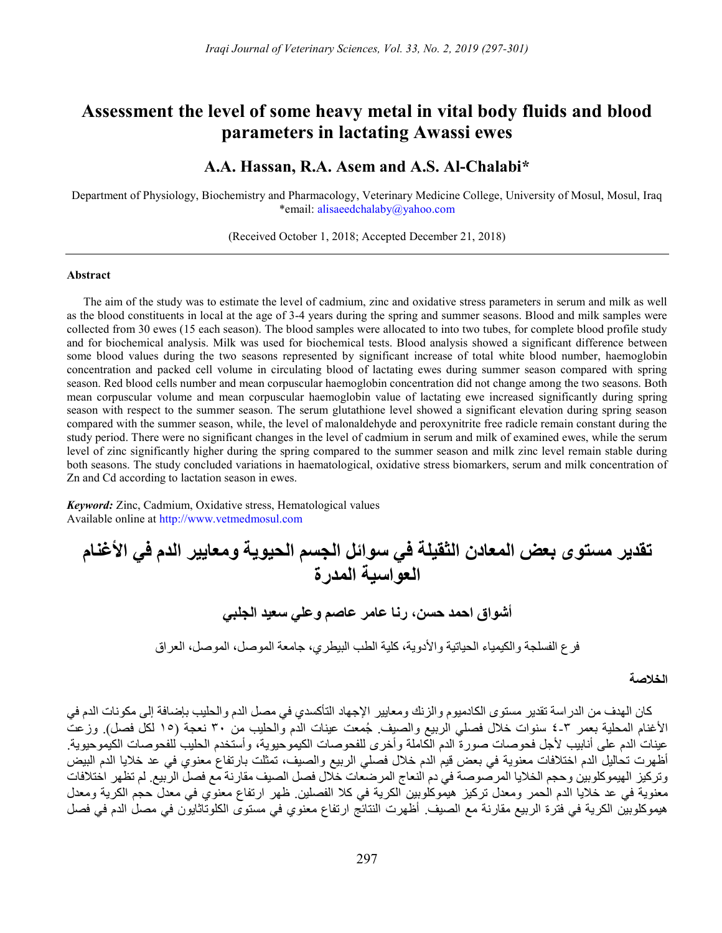## Assessment the level of some heavy metal in vital body fluids and blood parameters in lactating Awassi ewes

### A.A. Hassan, R.A. Asem and A.S. Al-Chalabi\*

Department of Physiology, Biochemistry and Pharmacology, Veterinary Medicine College, University of Mosul, Mosul, Iraq \*email: alisaeedchalaby@yahoo.com

(Received October 1, 2018; Accepted December 21, 2018)

#### Abstract

The aim of the study was to estimate the level of cadmium, zinc and oxidative stress parameters in serum and milk as well as the blood constituents in local at the age of 3-4 years during the spring and summer seasons. Blood and milk samples were collected from 30 ewes (15 each season). The blood samples were allocated to into two tubes, for complete blood profile study and for biochemical analysis. Milk was used for biochemical tests. Blood analysis showed a significant difference between some blood values during the two seasons represented by significant increase of total white blood number, haemoglobin concentration and packed cell volume in circulating blood of lactating ewes during summer season compared with spring season. Red blood cells number and mean corpuscular haemoglobin concentration did not change among the two seasons. Both mean corpuscular volume and mean corpuscular haemoglobin value of lactating ewe increased significantly during spring season with respect to the summer season. The serum glutathione level showed a significant elevation during spring season compared with the summer season, while, the level of malonaldehyde and peroxynitrite free radicle remain constant during the study period. There were no significant changes in the level of cadmium in serum and milk of examined ewes, while the serum level of zinc significantly higher during the spring compared to the summer season and milk zinc level remain stable during both seasons. The study concluded variations in haematological, oxidative stress biomarkers, serum and milk concentration of Zn and Cd according to lactation season in ewes.

Keyword: Zinc, Cadmium, Oxidative stress, Hematological values Available online at http://www.vetmedmosul.com

# تقدير مستوى بعض المعادن الثقيلة في سوائل الجسم الحيوية ومعايير الدم في الأغنام العواسية المدرة

أشواق احمد حسن، رنا عامر عاصم وعلي سعيد الجلبي

فرع الفسلجة والكيمياء الحياتية والأدوية، كلية الطب البيطري، جامعة الموصل، الموصل، العراق

#### الخلاصة

كان الهدف من الدراسة تقدير مستوى الكادميوم والزنك ومعايير الإجهاد التأكسدي في مصل الدم والحليب بإضافة إلى مكونات الدم في الأغنام المحلية بعمر ٤-٣ سنوات خلال فصلي الربيع والصيف. ُجمعت عينات الدم والحليب من ٣٠ نعجة (١٥ لكل فصل). وزعت عينات الدم على أنابيب لأجل فحوصات صورة الدم الكاملة وأخرى للفحوصات الكيموحيوية، وأستخدم الحليب للفحوصات الكيموحيوية. أظهرت تحاليل الدم اختلافات معنوية في بعض قيم الدم خلال فصلي الربيع والصيف، تمثلت بارتفاع معنوي في عد خلايا الدم البيض وتركيز الهيموكلوبين وحجم الخلايا المرصوصة في دم النعاج المرضعات خلال فصل الصيف مقارنة مع فصل الربيع. لم تظهر اختلافات معنوية في عد خلايا الدم الحمر ومعدل تركيز هيموكلوبين الكرية في كلا الفصلين. ظهر ارتفاع معنوي في معدل حجم الكرية ومعدل هيموكلوبين الكرية في فترة الربيع مقارنة مع الصيف. أظهرت النتائج ارتفاع معنوي في مستوى الكلوتاثايون في مصل الدم في فصل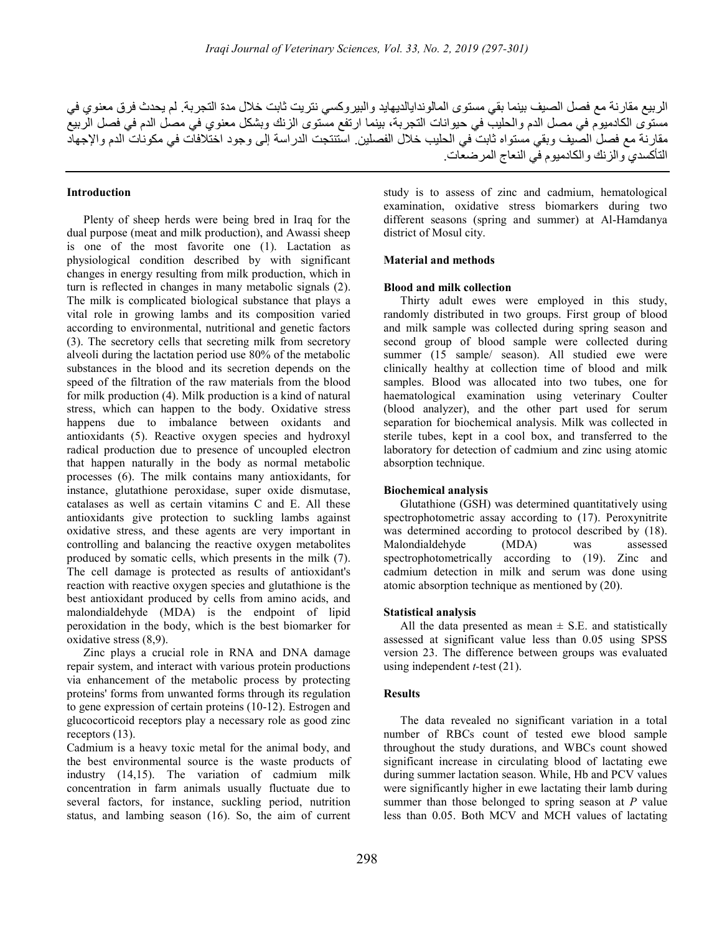الربيع مقارنة مع فصل الصيف بينما بقي مستوى المالوندايالديهايد والبيروكسي نتريت ثابت خلال مدة التجربة. لم يحدث فرق معنوي في مستوى الكادميوم في مصل الدم والحليب في حيوانات التجربة، بينما ارتفع مستوى الزنك وبشكل معنوي في مصل الدم في فصل الربيع مقارنة مع فصل الصيف وبقي مستواه ثابت في الحليب خلال الفصلين. استنتجت الدراسة إلى وجود اختلافات في مكونات الدم والإجهاد التأكسدي والزنك والكادميوم في النعاج المرضعات.

#### Introduction

Plenty of sheep herds were being bred in Iraq for the dual purpose (meat and milk production), and Awassi sheep is one of the most favorite one (1). Lactation as physiological condition described by with significant changes in energy resulting from milk production, which in turn is reflected in changes in many metabolic signals (2). The milk is complicated biological substance that plays a vital role in growing lambs and its composition varied according to environmental, nutritional and genetic factors (3). The secretory cells that secreting milk from secretory alveoli during the lactation period use 80% of the metabolic substances in the blood and its secretion depends on the speed of the filtration of the raw materials from the blood for milk production (4). Milk production is a kind of natural stress, which can happen to the body. Oxidative stress happens due to imbalance between oxidants and antioxidants (5). Reactive oxygen species and hydroxyl radical production due to presence of uncoupled electron that happen naturally in the body as normal metabolic processes (6). The milk contains many antioxidants, for instance, glutathione peroxidase, super oxide dismutase, catalases as well as certain vitamins C and E. All these antioxidants give protection to suckling lambs against oxidative stress, and these agents are very important in controlling and balancing the reactive oxygen metabolites produced by somatic cells, which presents in the milk (7). The cell damage is protected as results of antioxidant's reaction with reactive oxygen species and glutathione is the best antioxidant produced by cells from amino acids, and malondialdehyde (MDA) is the endpoint of lipid peroxidation in the body, which is the best biomarker for oxidative stress (8,9).

Zinc plays a crucial role in RNA and DNA damage repair system, and interact with various protein productions via enhancement of the metabolic process by protecting proteins' forms from unwanted forms through its regulation to gene expression of certain proteins (10-12). Estrogen and glucocorticoid receptors play a necessary role as good zinc receptors (13).

Cadmium is a heavy toxic metal for the animal body, and the best environmental source is the waste products of industry (14,15). The variation of cadmium milk concentration in farm animals usually fluctuate due to several factors, for instance, suckling period, nutrition status, and lambing season (16). So, the aim of current

study is to assess of zinc and cadmium, hematological examination, oxidative stress biomarkers during two different seasons (spring and summer) at Al-Hamdanya district of Mosul city.

#### Material and methods

#### Blood and milk collection

Thirty adult ewes were employed in this study, randomly distributed in two groups. First group of blood and milk sample was collected during spring season and second group of blood sample were collected during summer (15 sample/ season). All studied ewe were clinically healthy at collection time of blood and milk samples. Blood was allocated into two tubes, one for haematological examination using veterinary Coulter (blood analyzer), and the other part used for serum separation for biochemical analysis. Milk was collected in sterile tubes, kept in a cool box, and transferred to the laboratory for detection of cadmium and zinc using atomic absorption technique.

#### Biochemical analysis

Glutathione (GSH) was determined quantitatively using spectrophotometric assay according to (17). Peroxynitrite was determined according to protocol described by (18). Malondialdehyde (MDA) was assessed spectrophotometrically according to (19). Zinc and cadmium detection in milk and serum was done using atomic absorption technique as mentioned by (20).

#### Statistical analysis

All the data presented as mean  $\pm$  S.E. and statistically assessed at significant value less than 0.05 using SPSS version 23. The difference between groups was evaluated using independent  $t$ -test  $(21)$ .

#### Results

The data revealed no significant variation in a total number of RBCs count of tested ewe blood sample throughout the study durations, and WBCs count showed significant increase in circulating blood of lactating ewe during summer lactation season. While, Hb and PCV values were significantly higher in ewe lactating their lamb during summer than those belonged to spring season at  $P$  value less than 0.05. Both MCV and MCH values of lactating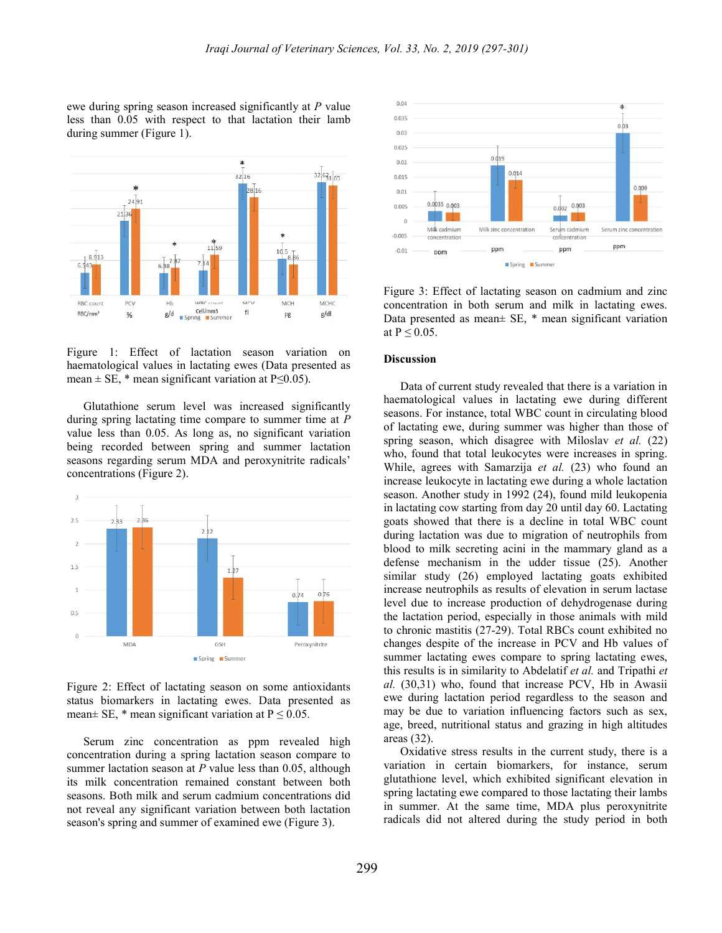ewe during spring season increased significantly at P value less than 0.05 with respect to that lactation their lamb during summer (Figure 1).



Figure 1: Effect of lactation season variation on haematological values in lactating ewes (Data presented as mean  $\pm$  SE,  $*$  mean significant variation at P $\leq$ 0.05).

Glutathione serum level was increased significantly during spring lactating time compare to summer time at  $$ value less than 0.05. As long as, no significant variation being recorded between spring and summer lactation seasons regarding serum MDA and peroxynitrite radicals' concentrations (Figure 2).



Figure 2: Effect of lactating season on some antioxidants status biomarkers in lactating ewes. Data presented as mean $\pm$  SE, \* mean significant variation at P  $\leq$  0.05.

Serum zinc concentration as ppm revealed high concentration during a spring lactation season compare to summer lactation season at  $P$  value less than 0.05, although its milk concentration remained constant between both seasons. Both milk and serum cadmium concentrations did not reveal any significant variation between both lactation season's spring and summer of examined ewe (Figure 3).



Figure 3: Effect of lactating season on cadmium and zinc concentration in both serum and milk in lactating ewes. Data presented as mean± SE, \* mean significant variation at  $P \leq 0.05$ .

#### Discussion

Data of current study revealed that there is a variation in haematological values in lactating ewe during different seasons. For instance, total WBC count in circulating blood of lactating ewe, during summer was higher than those of spring season, which disagree with Miloslav et al. (22) who, found that total leukocytes were increases in spring. While, agrees with Samarzija et al. (23) who found an increase leukocyte in lactating ewe during a whole lactation season. Another study in 1992 (24), found mild leukopenia in lactating cow starting from day 20 until day 60. Lactating goats showed that there is a decline in total WBC count during lactation was due to migration of neutrophils from blood to milk secreting acini in the mammary gland as a defense mechanism in the udder tissue (25). Another similar study (26) employed lactating goats exhibited increase neutrophils as results of elevation in serum lactase level due to increase production of dehydrogenase during the lactation period, especially in those animals with mild to chronic mastitis (27-29). Total RBCs count exhibited no changes despite of the increase in PCV and Hb values of summer lactating ewes compare to spring lactating ewes, this results is in similarity to Abdelatif et al. and Tripathi et al. (30,31) who, found that increase PCV, Hb in Awasii ewe during lactation period regardless to the season and may be due to variation influencing factors such as sex, age, breed, nutritional status and grazing in high altitudes areas (32).

Oxidative stress results in the current study, there is a variation in certain biomarkers, for instance, serum glutathione level, which exhibited significant elevation in spring lactating ewe compared to those lactating their lambs in summer. At the same time, MDA plus peroxynitrite radicals did not altered during the study period in both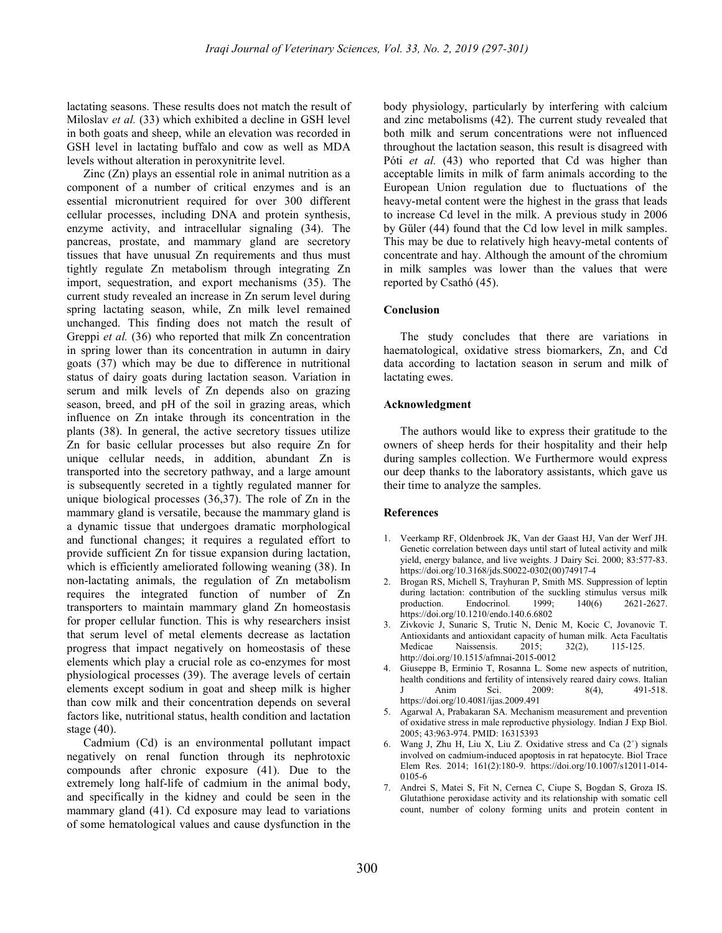lactating seasons. These results does not match the result of Miloslav et al. (33) which exhibited a decline in GSH level in both goats and sheep, while an elevation was recorded in GSH level in lactating buffalo and cow as well as MDA levels without alteration in peroxynitrite level.

Zinc (Zn) plays an essential role in animal nutrition as a component of a number of critical enzymes and is an essential micronutrient required for over 300 different cellular processes, including DNA and protein synthesis, enzyme activity, and intracellular signaling (34). The pancreas, prostate, and mammary gland are secretory tissues that have unusual Zn requirements and thus must tightly regulate Zn metabolism through integrating Zn import, sequestration, and export mechanisms (35). The current study revealed an increase in Zn serum level during spring lactating season, while, Zn milk level remained unchanged. This finding does not match the result of Greppi et al. (36) who reported that milk Zn concentration in spring lower than its concentration in autumn in dairy goats (37) which may be due to difference in nutritional status of dairy goats during lactation season. Variation in serum and milk levels of Zn depends also on grazing season, breed, and pH of the soil in grazing areas, which influence on Zn intake through its concentration in the plants (38). In general, the active secretory tissues utilize Zn for basic cellular processes but also require Zn for unique cellular needs, in addition, abundant Zn is transported into the secretory pathway, and a large amount is subsequently secreted in a tightly regulated manner for unique biological processes (36,37). The role of Zn in the mammary gland is versatile, because the mammary gland is a dynamic tissue that undergoes dramatic morphological and functional changes; it requires a regulated effort to provide sufficient Zn for tissue expansion during lactation, which is efficiently ameliorated following weaning (38). In non-lactating animals, the regulation of Zn metabolism requires the integrated function of number of Zn transporters to maintain mammary gland Zn homeostasis for proper cellular function. This is why researchers insist that serum level of metal elements decrease as lactation progress that impact negatively on homeostasis of these elements which play a crucial role as co-enzymes for most physiological processes (39). The average levels of certain elements except sodium in goat and sheep milk is higher than cow milk and their concentration depends on several factors like, nutritional status, health condition and lactation stage (40).

Cadmium (Cd) is an environmental pollutant impact negatively on renal function through its nephrotoxic compounds after chronic exposure (41). Due to the extremely long half-life of cadmium in the animal body, and specifically in the kidney and could be seen in the mammary gland (41). Cd exposure may lead to variations of some hematological values and cause dysfunction in the

body physiology, particularly by interfering with calcium and zinc metabolisms (42). The current study revealed that both milk and serum concentrations were not influenced throughout the lactation season, this result is disagreed with Póti et al. (43) who reported that Cd was higher than acceptable limits in milk of farm animals according to the European Union regulation due to fluctuations of the heavy-metal content were the highest in the grass that leads to increase Cd level in the milk. A previous study in 2006 by Güler (44) found that the Cd low level in milk samples. This may be due to relatively high heavy-metal contents of concentrate and hay. Although the amount of the chromium in milk samples was lower than the values that were reported by Csathó (45).

#### Conclusion

The study concludes that there are variations in haematological, oxidative stress biomarkers, Zn, and Cd data according to lactation season in serum and milk of lactating ewes.

#### Acknowledgment

The authors would like to express their gratitude to the owners of sheep herds for their hospitality and their help during samples collection. We Furthermore would express our deep thanks to the laboratory assistants, which gave us their time to analyze the samples.

#### References

- 1. Veerkamp RF, Oldenbroek JK, Van der Gaast HJ, Van der Werf JH. Genetic correlation between days until start of luteal activity and milk yield, energy balance, and live weights. J Dairy Sci. 2000; 83:577-83. https://doi.org/10.3168/jds.S0022-0302(00)74917-4
- 2. Brogan RS, Michell S, Trayhuran P, Smith MS. Suppression of leptin during lactation: contribution of the suckling stimulus versus milk<br>production. Endocrinol. 1999; 140(6) 2621-2627. Endocrinol. 1999; 140(6) 2621-2627. https://doi.org/10.1210/endo.140.6.6802
- 3. Zivkovic J, Sunaric S, Trutic N, Denic M, Kocic C, Jovanovic T. Antioxidants and antioxidant capacity of human milk. Acta Facultatis<br>Medicae Naissensis. 2015; 32(2), 115-125. Naissensis. 2015; 32(2), 115-125. http://doi.org/10.1515/afmnai-2015-0012
- 4. Giuseppe B, Erminio T, Rosanna L. Some new aspects of nutrition, health conditions and fertility of intensively reared dairy cows. Italian Anim Sci. 2009: 8(4), 491-518. https://doi.org/10.4081/ijas.2009.491
- 5. Agarwal A, Prabakaran SA. Mechanism measurement and prevention of oxidative stress in male reproductive physiology. Indian J Exp Biol. 2005; 43:963-974. PMID: 16315393
- 6. Wang J, Zhu H, Liu X, Liu Z. Oxidative stress and Ca  $(2^+)$  signals involved on cadmium-induced apoptosis in rat hepatocyte. Biol Trace Elem Res. 2014; 161(2):180-9. https://doi.org/10.1007/s12011-014- 0105-6
- 7. Andrei S, Matei S, Fit N, Cernea C, Ciupe S, Bogdan S, Groza IS. Glutathione peroxidase activity and its relationship with somatic cell count, number of colony forming units and protein content in